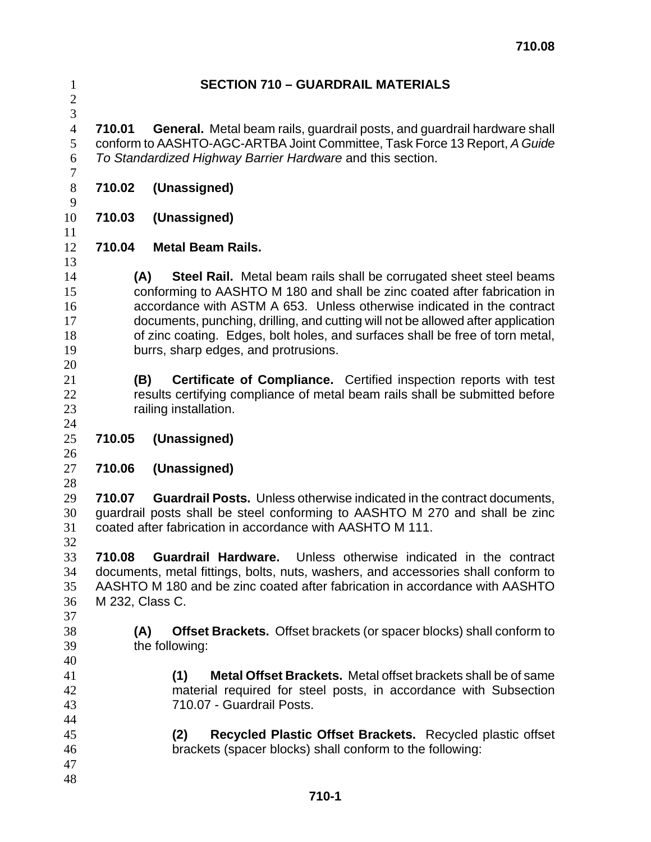## **SECTION 710 – GUARDRAIL MATERIALS**

 

**710.01 General.** Metal beam rails, guardrail posts, and guardrail hardware shall conform to AASHTO-AGC-ARTBA Joint Committee, Task Force 13 Report, *A Guide To Standardized Highway Barrier Hardware* and this section.

- **710.02 (Unassigned)**
- **710.03 (Unassigned)**
- **710.04 Metal Beam Rails.**
- 

**(A) Steel Rail.** Metal beam rails shall be corrugated sheet steel beams conforming to AASHTO M 180 and shall be zinc coated after fabrication in accordance with ASTM A 653. Unless otherwise indicated in the contract documents, punching, drilling, and cutting will not be allowed after application of zinc coating. Edges, bolt holes, and surfaces shall be free of torn metal, burrs, sharp edges, and protrusions. 

- **(B) Certificate of Compliance.** Certified inspection reports with test results certifying compliance of metal beam rails shall be submitted before railing installation.
- **710.05 (Unassigned)**
- **710.06 (Unassigned)**
- 

**710.07 Guardrail Posts.** Unless otherwise indicated in the contract documents, guardrail posts shall be steel conforming to AASHTO M 270 and shall be zinc coated after fabrication in accordance with AASHTO M 111.

 **710.08 Guardrail Hardware.** Unless otherwise indicated in the contract documents, metal fittings, bolts, nuts, washers, and accessories shall conform to AASHTO M 180 and be zinc coated after fabrication in accordance with AASHTO M 232, Class C.

- 
- 

**(A) Offset Brackets.** Offset brackets (or spacer blocks) shall conform to the following:

**(1) Metal Offset Brackets.** Metal offset brackets shall be of same material required for steel posts, in accordance with Subsection 710.07 - Guardrail Posts.

- **(2) Recycled Plastic Offset Brackets.** Recycled plastic offset brackets (spacer blocks) shall conform to the following:
-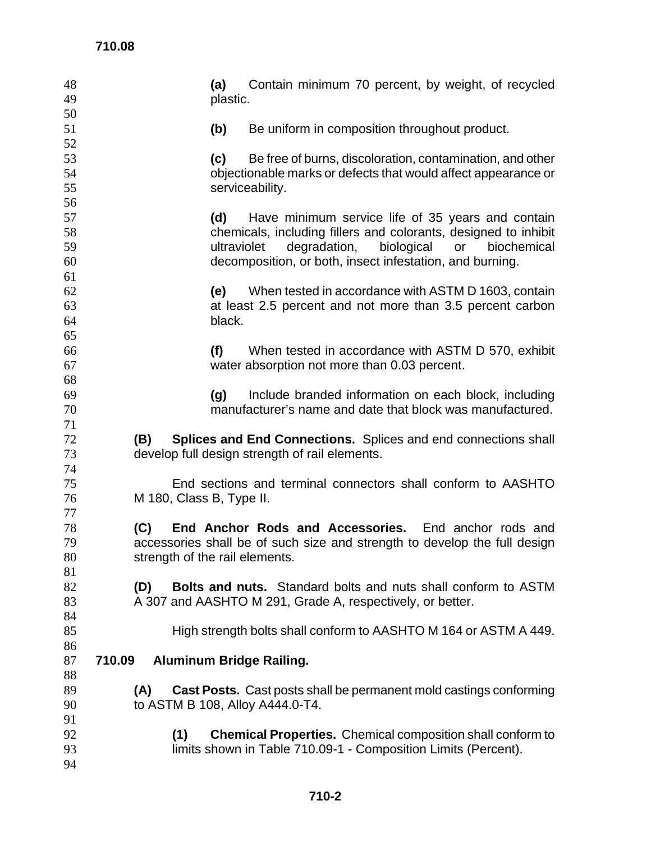| 48       | Contain minimum 70 percent, by weight, of recycled<br>(a)                        |
|----------|----------------------------------------------------------------------------------|
| 49       | plastic.                                                                         |
| 50       |                                                                                  |
| 51       | Be uniform in composition throughout product.<br>(b)                             |
| 52       |                                                                                  |
| 53       | (c)<br>Be free of burns, discoloration, contamination, and other                 |
| 54       | objectionable marks or defects that would affect appearance or                   |
| 55       | serviceability.                                                                  |
| 56       |                                                                                  |
| 57       | Have minimum service life of 35 years and contain<br>(d)                         |
| 58       | chemicals, including fillers and colorants, designed to inhibit                  |
| 59       | ultraviolet<br>degradation,<br>biological<br>or<br>biochemical                   |
| 60       | decomposition, or both, insect infestation, and burning.                         |
| 61       |                                                                                  |
| 62       | When tested in accordance with ASTM D 1603, contain<br>(e)                       |
| 63       | at least 2.5 percent and not more than 3.5 percent carbon                        |
| 64       | black.                                                                           |
| 65       |                                                                                  |
| 66       | (f)<br>When tested in accordance with ASTM D 570, exhibit                        |
| 67       | water absorption not more than 0.03 percent.                                     |
| 68       |                                                                                  |
| 69       | Include branded information on each block, including<br>(g)                      |
| 70       | manufacturer's name and date that block was manufactured.                        |
| 71       |                                                                                  |
| 72       | <b>Splices and End Connections.</b> Splices and end connections shall<br>(B)     |
| 73       | develop full design strength of rail elements.                                   |
| 74<br>75 | End sections and terminal connectors shall conform to AASHTO                     |
| 76       | M 180, Class B, Type II.                                                         |
| 77       |                                                                                  |
| 78       | End Anchor Rods and Accessories. End anchor rods and<br>(C)                      |
| 79       | accessories shall be of such size and strength to develop the full design        |
| 80       | strength of the rail elements.                                                   |
| 81       |                                                                                  |
| 82       | <b>Bolts and nuts.</b> Standard bolts and nuts shall conform to ASTM<br>(D)      |
| 83       | A 307 and AASHTO M 291, Grade A, respectively, or better.                        |
| 84       |                                                                                  |
| 85       | High strength bolts shall conform to AASHTO M 164 or ASTM A 449.                 |
| 86       |                                                                                  |
| 87       | 710.09<br><b>Aluminum Bridge Railing.</b>                                        |
| 88       |                                                                                  |
| 89       | <b>Cast Posts.</b> Cast posts shall be permanent mold castings conforming<br>(A) |
| 90       | to ASTM B 108, Alloy A444.0-T4.                                                  |
| 91       |                                                                                  |
| 92       | <b>Chemical Properties.</b> Chemical composition shall conform to<br>(1)         |
| 93       | limits shown in Table 710.09-1 - Composition Limits (Percent).                   |
| 94       |                                                                                  |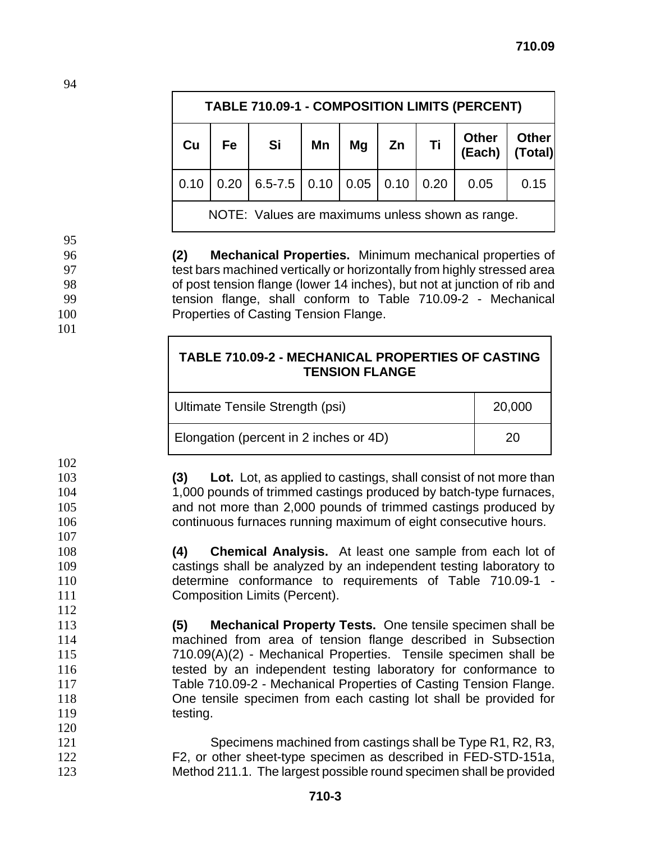| TABLE 710.09-1 - COMPOSITION LIMITS (PERCENT)    |           |                                                    |    |    |    |    |                               |      |
|--------------------------------------------------|-----------|----------------------------------------------------|----|----|----|----|-------------------------------|------|
| Cu                                               | <b>Fe</b> | Si                                                 | Mn | Mg | Zn | Ti | Other Other<br>(Each) (Total) |      |
| 0.10                                             |           | $\vert$ 0.20   6.5-7.5   0.10   0.05   0.10   0.20 |    |    |    |    | 0.05                          | 0.15 |
| NOTE: Values are maximums unless shown as range. |           |                                                    |    |    |    |    |                               |      |

**(2) Mechanical Properties.** Minimum mechanical properties of test bars machined vertically or horizontally from highly stressed area of post tension flange (lower 14 inches), but not at junction of rib and tension flange, shall conform to Table 710.09-2 - Mechanical Properties of Casting Tension Flange.

| TABLE 710.09-2 - MECHANICAL PROPERTIES OF CASTING |
|---------------------------------------------------|
| <b>TENSION FLANGE</b>                             |

| Ultimate Tensile Strength (psi)        | 20,000 |
|----------------------------------------|--------|
| Elongation (percent in 2 inches or 4D) | 20     |

**(3) Lot.** Lot, as applied to castings, shall consist of not more than 1,000 pounds of trimmed castings produced by batch-type furnaces, and not more than 2,000 pounds of trimmed castings produced by continuous furnaces running maximum of eight consecutive hours.

**(4) Chemical Analysis.** At least one sample from each lot of castings shall be analyzed by an independent testing laboratory to determine conformance to requirements of Table 710.09-1 - **Composition Limits (Percent).** 

- **(5) Mechanical Property Tests.** One tensile specimen shall be machined from area of tension flange described in Subsection 710.09(A)(2) - Mechanical Properties. Tensile specimen shall be tested by an independent testing laboratory for conformance to Table 710.09-2 - Mechanical Properties of Casting Tension Flange. One tensile specimen from each casting lot shall be provided for 119 testing.
- Specimens machined from castings shall be Type R1, R2, R3, F2, or other sheet-type specimen as described in FED-STD-151a, Method 211.1. The largest possible round specimen shall be provided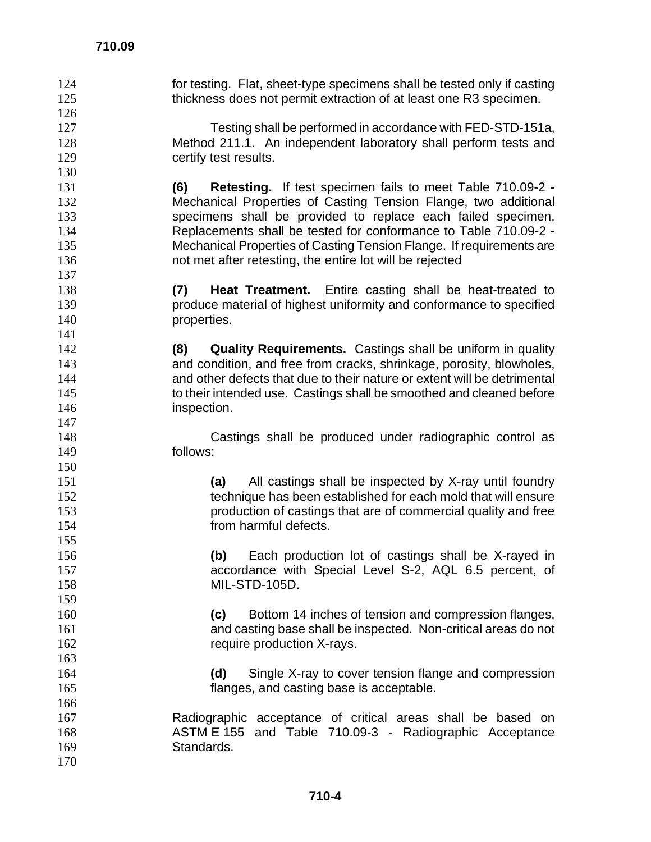for testing. Flat, sheet-type specimens shall be tested only if casting 125 thickness does not permit extraction of at least one R3 specimen. Testing shall be performed in accordance with FED-STD-151a, Method 211.1. An independent laboratory shall perform tests and **certify test results. (6) Retesting.** If test specimen fails to meet Table 710.09-2 - Mechanical Properties of Casting Tension Flange, two additional specimens shall be provided to replace each failed specimen. Replacements shall be tested for conformance to Table 710.09-2 - Mechanical Properties of Casting Tension Flange. If requirements are not met after retesting, the entire lot will be rejected **(7) Heat Treatment.** Entire casting shall be heat-treated to produce material of highest uniformity and conformance to specified 140 properties. **(8) Quality Requirements.** Castings shall be uniform in quality and condition, and free from cracks, shrinkage, porosity, blowholes, and other defects that due to their nature or extent will be detrimental to their intended use. Castings shall be smoothed and cleaned before inspection. Castings shall be produced under radiographic control as follows: **(a)** All castings shall be inspected by X-ray until foundry technique has been established for each mold that will ensure production of castings that are of commercial quality and free from harmful defects. **(b)** Each production lot of castings shall be X-rayed in accordance with Special Level S-2, AQL 6.5 percent, of MIL-STD-105D. **(c)** Bottom 14 inches of tension and compression flanges, and casting base shall be inspected. Non-critical areas do not 162 require production X-rays. **(d)** Single X-ray to cover tension flange and compression flanges, and casting base is acceptable. Radiographic acceptance of critical areas shall be based on ASTM E 155 and Table 710.09-3 - Radiographic Acceptance Standards.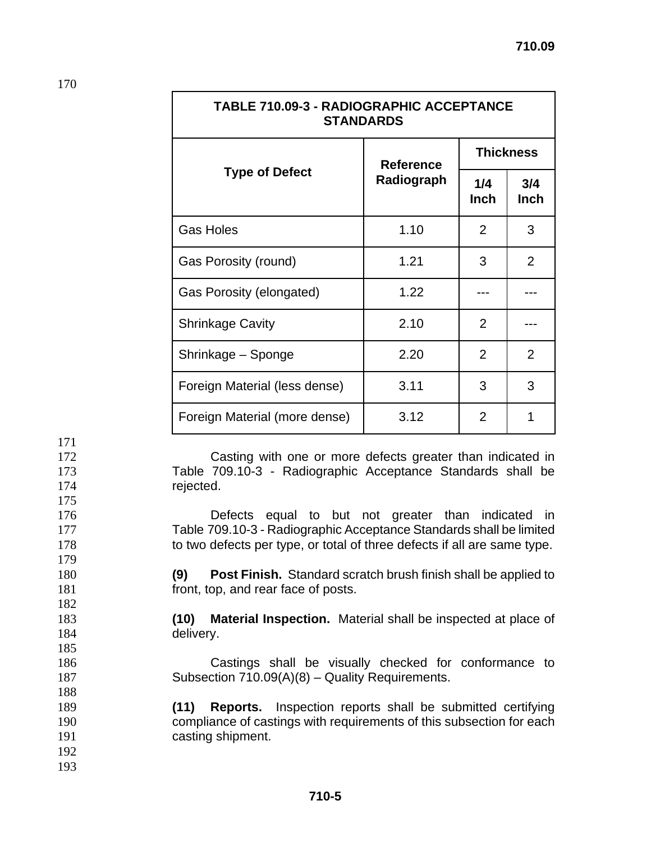| TADLE / IU.U9-3 - RADIOGRAPHIC ACCEPTANCE<br><b>STANDARDS</b> |                  |                    |                    |  |
|---------------------------------------------------------------|------------------|--------------------|--------------------|--|
|                                                               | <b>Reference</b> | <b>Thickness</b>   |                    |  |
| <b>Type of Defect</b>                                         | Radiograph       | 1/4<br><b>Inch</b> | 3/4<br><b>Inch</b> |  |
| <b>Gas Holes</b>                                              | 1.10             | $\overline{2}$     | 3                  |  |
| Gas Porosity (round)                                          | 1.21             | 3                  | $\overline{2}$     |  |
| Gas Porosity (elongated)                                      | 1.22             |                    |                    |  |
| <b>Shrinkage Cavity</b>                                       | 2.10             | 2                  |                    |  |
| Shrinkage - Sponge                                            | 2.20             | $\overline{2}$     | 2                  |  |
| Foreign Material (less dense)                                 | 3.11             | 3                  | 3                  |  |
| Foreign Material (more dense)                                 | 3.12             | 2                  |                    |  |

**TABLE 710.09-3 - RADIOGRAPHIC ACCEPTANCE** 

172 Casting with one or more defects greater than indicated in 173 Table 709.10-3 - Radiographic Acceptance Standards shall be 174 rejected.

176 Defects equal to but not greater than indicated in 177 Table 709.10-3 - Radiographic Acceptance Standards shall be limited 178 to two defects per type, or total of three defects if all are same type.

180 **(9) Post Finish.** Standard scratch brush finish shall be applied to 181 **front, top, and rear face of posts.** 

183 **(10) Material Inspection.** Material shall be inspected at place of 184 delivery.

186 Castings shall be visually checked for conformance to 187 Subsection 710.09(A)(8) – Quality Requirements.

189 **(11) Reports.** Inspection reports shall be submitted certifying 190 compliance of castings with requirements of this subsection for each 191 casting shipment.

192 193

171

175

179

182

185

188

170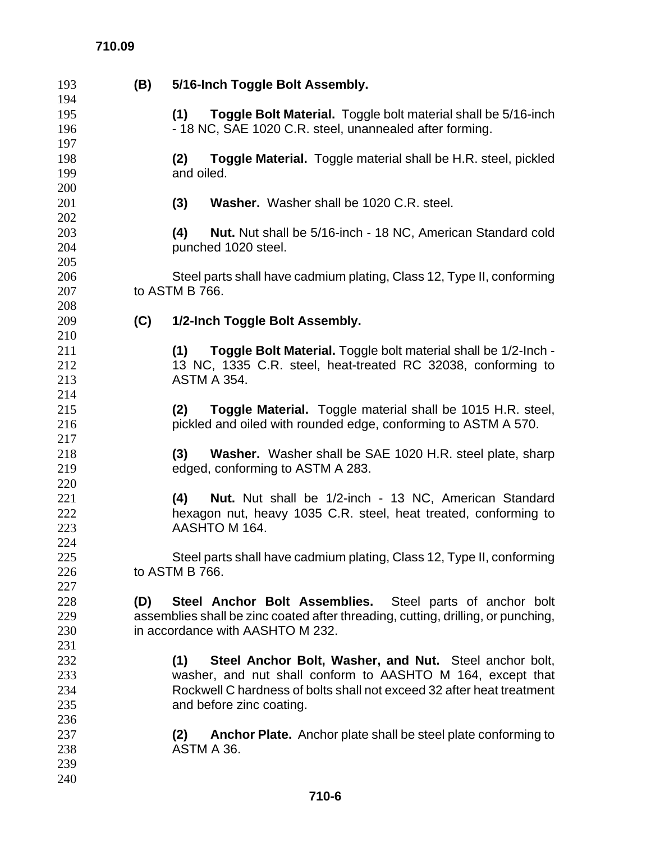## **710.09**

| 193 | (B) | 5/16-Inch Toggle Bolt Assembly.                                                  |
|-----|-----|----------------------------------------------------------------------------------|
| 194 |     |                                                                                  |
| 195 |     | Toggle Bolt Material. Toggle bolt material shall be 5/16-inch<br>(1)             |
| 196 |     | - 18 NC, SAE 1020 C.R. steel, unannealed after forming.                          |
| 197 |     |                                                                                  |
| 198 |     | <b>Toggle Material.</b> Toggle material shall be H.R. steel, pickled<br>(2)      |
| 199 |     | and oiled.                                                                       |
| 200 |     |                                                                                  |
| 201 |     | Washer. Washer shall be 1020 C.R. steel.<br>(3)                                  |
| 202 |     |                                                                                  |
| 203 |     | Nut. Nut shall be 5/16-inch - 18 NC, American Standard cold<br>(4)               |
| 204 |     | punched 1020 steel.                                                              |
| 205 |     |                                                                                  |
| 206 |     | Steel parts shall have cadmium plating, Class 12, Type II, conforming            |
| 207 |     | to ASTM B 766.                                                                   |
| 208 |     |                                                                                  |
| 209 | (C) | 1/2-Inch Toggle Bolt Assembly.                                                   |
| 210 |     |                                                                                  |
|     |     |                                                                                  |
| 211 |     | Toggle Bolt Material. Toggle bolt material shall be 1/2-lnch -<br>(1)            |
| 212 |     | 13 NC, 1335 C.R. steel, heat-treated RC 32038, conforming to                     |
| 213 |     | <b>ASTM A 354.</b>                                                               |
| 214 |     |                                                                                  |
| 215 |     | <b>Toggle Material.</b> Toggle material shall be 1015 H.R. steel,<br>(2)         |
| 216 |     | pickled and oiled with rounded edge, conforming to ASTM A 570.                   |
| 217 |     |                                                                                  |
| 218 |     | Washer. Washer shall be SAE 1020 H.R. steel plate, sharp<br>(3)                  |
| 219 |     | edged, conforming to ASTM A 283.                                                 |
| 220 |     |                                                                                  |
| 221 |     | (4)<br><b>Nut.</b> Nut shall be 1/2-inch - 13 NC, American Standard              |
| 222 |     | hexagon nut, heavy 1035 C.R. steel, heat treated, conforming to                  |
| 223 |     | AASHTO M 164.                                                                    |
| 224 |     |                                                                                  |
| 225 |     | Steel parts shall have cadmium plating, Class 12, Type II, conforming            |
| 226 |     | to ASTM B 766.                                                                   |
| 227 |     |                                                                                  |
| 228 | (D) | Steel Anchor Bolt Assemblies. Steel parts of anchor bolt                         |
| 229 |     | assemblies shall be zinc coated after threading, cutting, drilling, or punching, |
| 230 |     | in accordance with AASHTO M 232.                                                 |
| 231 |     |                                                                                  |
| 232 |     | Steel Anchor Bolt, Washer, and Nut. Steel anchor bolt,<br>(1)                    |
| 233 |     | washer, and nut shall conform to AASHTO M 164, except that                       |
| 234 |     | Rockwell C hardness of bolts shall not exceed 32 after heat treatment            |
| 235 |     | and before zinc coating.                                                         |
| 236 |     |                                                                                  |
| 237 |     | Anchor Plate. Anchor plate shall be steel plate conforming to<br>(2)             |
| 238 |     | ASTM A 36.                                                                       |
| 239 |     |                                                                                  |
| 240 |     |                                                                                  |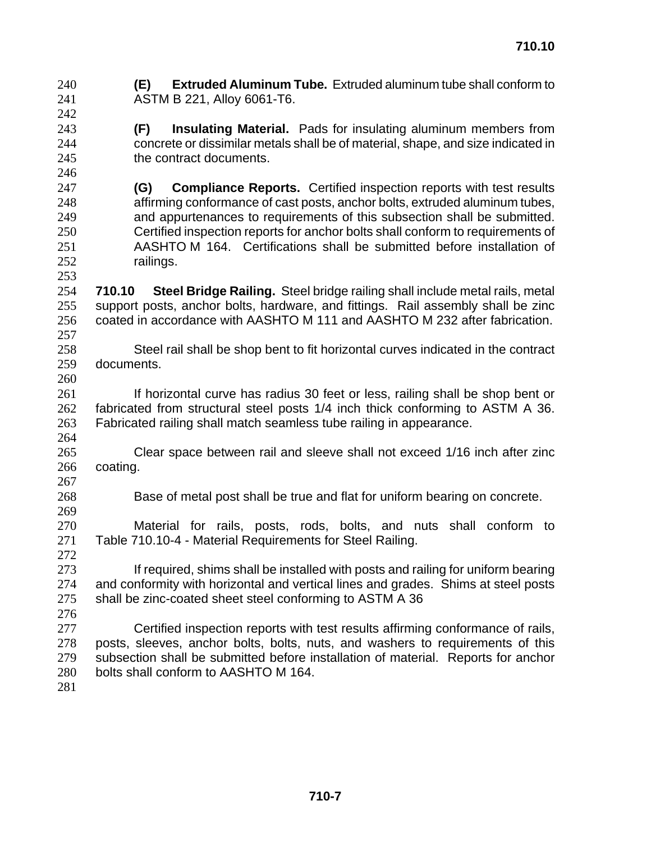| 240<br>241<br>242               | <b>Extruded Aluminum Tube.</b> Extruded aluminum tube shall conform to<br>(E)<br>ASTM B 221, Alloy 6061-T6.                                                                                                                                                                                   |
|---------------------------------|-----------------------------------------------------------------------------------------------------------------------------------------------------------------------------------------------------------------------------------------------------------------------------------------------|
| 243<br>244<br>245               | <b>Insulating Material.</b> Pads for insulating aluminum members from<br>(F)<br>concrete or dissimilar metals shall be of material, shape, and size indicated in<br>the contract documents.                                                                                                   |
| 246<br>247<br>248               | <b>Compliance Reports.</b> Certified inspection reports with test results<br>(G)<br>affirming conformance of cast posts, anchor bolts, extruded aluminum tubes,                                                                                                                               |
| 249<br>250<br>251               | and appurtenances to requirements of this subsection shall be submitted.<br>Certified inspection reports for anchor bolts shall conform to requirements of<br>AASHTO M 164. Certifications shall be submitted before installation of                                                          |
| 252<br>253<br>254               | railings.<br>Steel Bridge Railing. Steel bridge railing shall include metal rails, metal<br>710.10                                                                                                                                                                                            |
| 255<br>256<br>257               | support posts, anchor bolts, hardware, and fittings. Rail assembly shall be zinc<br>coated in accordance with AASHTO M 111 and AASHTO M 232 after fabrication.                                                                                                                                |
| 258<br>259<br>260               | Steel rail shall be shop bent to fit horizontal curves indicated in the contract<br>documents.                                                                                                                                                                                                |
| 261<br>262<br>263<br>264        | If horizontal curve has radius 30 feet or less, railing shall be shop bent or<br>fabricated from structural steel posts 1/4 inch thick conforming to ASTM A 36.<br>Fabricated railing shall match seamless tube railing in appearance.                                                        |
| 265<br>266<br>267               | Clear space between rail and sleeve shall not exceed 1/16 inch after zinc<br>coating.                                                                                                                                                                                                         |
| 268<br>269                      | Base of metal post shall be true and flat for uniform bearing on concrete.                                                                                                                                                                                                                    |
| 270<br>271<br>272               | Material for rails, posts, rods, bolts, and nuts shall conform to<br>Table 710.10-4 - Material Requirements for Steel Railing.                                                                                                                                                                |
| 273<br>274<br>275<br>276        | If required, shims shall be installed with posts and railing for uniform bearing<br>and conformity with horizontal and vertical lines and grades. Shims at steel posts<br>shall be zinc-coated sheet steel conforming to ASTM A 36                                                            |
| 277<br>278<br>279<br>280<br>281 | Certified inspection reports with test results affirming conformance of rails,<br>posts, sleeves, anchor bolts, bolts, nuts, and washers to requirements of this<br>subsection shall be submitted before installation of material. Reports for anchor<br>bolts shall conform to AASHTO M 164. |